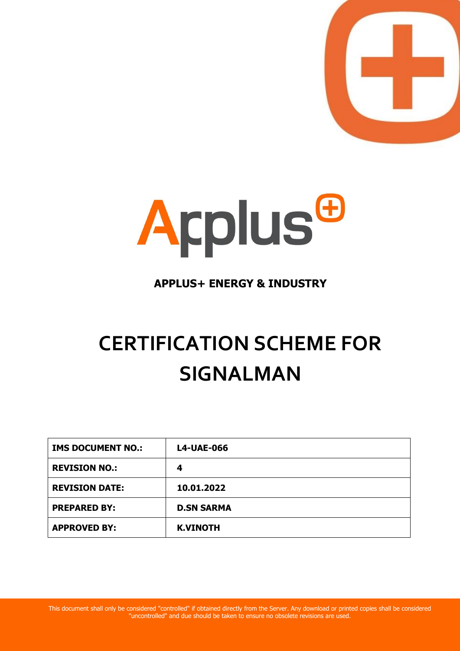



# **APPLUS+ ENERGY & INDUSTRY**

# **CERTIFICATION SCHEME FOR SIGNALMAN**

| <b>IMS DOCUMENT NO.:</b> | <b>L4-UAE-066</b> |
|--------------------------|-------------------|
| <b>REVISION NO.:</b>     | 4                 |
| <b>REVISION DATE:</b>    | 10.01.2022        |
| <b>PREPARED BY:</b>      | <b>D.SN SARMA</b> |
| <b>APPROVED BY:</b>      | <b>K.VINOTH</b>   |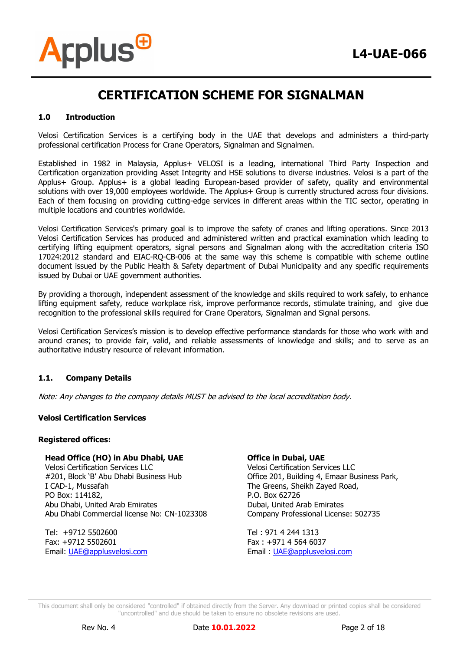

#### **1.0 Introduction**

**Arplus<sup>®</sup>** 

Velosi Certification Services is a certifying body in the UAE that develops and administers a third-party professional certification Process for Crane Operators, Signalman and Signalmen.

Established in 1982 in Malaysia, Applus+ VELOSI is a leading, international Third Party Inspection and Certification organization providing Asset Integrity and HSE solutions to diverse industries. Velosi is a part of the Applus+ Group. Applus+ is a global leading European-based provider of safety, quality and environmental solutions with over 19,000 employees worldwide. The Applus+ Group is currently structured across four divisions. Each of them focusing on providing cutting-edge services in different areas within the TIC sector, operating in multiple locations and countries worldwide.

Velosi Certification Services's primary goal is to improve the safety of cranes and lifting operations. Since 2013 Velosi Certification Services has produced and administered written and practical examination which leading to certifying lifting equipment operators, signal persons and Signalman along with the accreditation criteria ISO 17024:2012 standard and EIAC-RQ-CB-006 at the same way this scheme is compatible with scheme outline document issued by the Public Health & Safety department of Dubai Municipality and any specific requirements issued by Dubai or UAE government authorities.

By providing a thorough, independent assessment of the knowledge and skills required to work safely, to enhance lifting equipment safety, reduce workplace risk, improve performance records, stimulate training, and give due recognition to the professional skills required for Crane Operators, Signalman and Signal persons.

Velosi Certification Services's mission is to develop effective performance standards for those who work with and around cranes; to provide fair, valid, and reliable assessments of knowledge and skills; and to serve as an authoritative industry resource of relevant information.

#### **1.1. Company Details**

Note: Any changes to the company details MUST be advised to the local accreditation body.

#### **Velosi Certification Services**

#### **Registered offices:**

#### **Head Office (HO) in Abu Dhabi, UAE**

Velosi Certification Services LLC #201, Block 'B' Abu Dhabi Business Hub I CAD-1, Mussafah PO Box: 114182, Abu Dhabi, United Arab Emirates Abu Dhabi Commercial license No: CN-1023308

Tel: +9712 5502600 Fax: +9712 5502601 Email: [UAE@applusvelosi.com](mailto:UAE@applusvelosi.com)

#### **Office in Dubai, UAE**

Velosi Certification Services LLC Office 201, Building 4, Emaar Business Park, The Greens, Sheikh Zayed Road, P.O. Box 62726 Dubai, United Arab Emirates Company Professional License: 502735

Tel : 971 4 244 1313 Fax : +971 4 564 6037 Email : [UAE@applusvelosi.com](mailto:UAE@applusvelosi.com)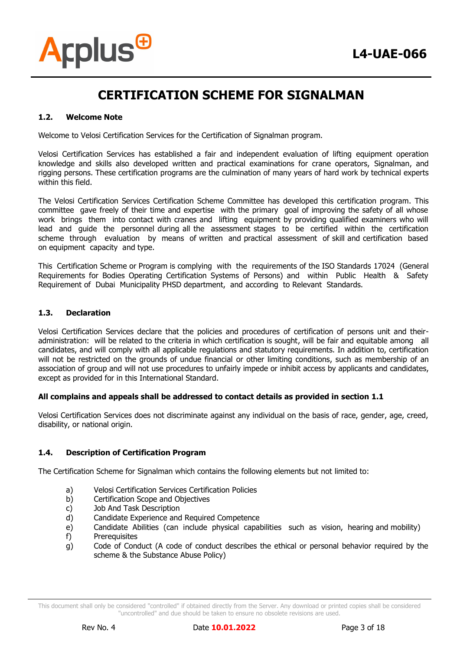#### **1.2. Welcome Note**

**Arplus<sup>®</sup>** 

Welcome to Velosi Certification Services for the Certification of Signalman program.

Velosi Certification Services has established a fair and independent evaluation of lifting equipment operation knowledge and skills also developed written and practical examinations for crane operators, Signalman, and rigging persons. These certification programs are the culmination of many years of hard work by technical experts within this field.

The Velosi Certification Services Certification Scheme Committee has developed this certification program. This committee gave freely of their time and expertise with the primary goal of improving the safety of all whose work brings them into contact with cranes and lifting equipment by providing qualified examiners who will lead and guide the personnel during all the assessment stages to be certified within the certification scheme through evaluation by means of written and practical assessment of skill and certification based on equipment capacity and type.

This Certification Scheme or Program is complying with the requirements of the ISO Standards 17024 (General Requirements for Bodies Operating Certification Systems of Persons) and within Public Health & Safety Requirement of Dubai Municipality PHSD department, and according to Relevant Standards.

#### **1.3. Declaration**

Velosi Certification Services declare that the policies and procedures of certification of persons unit and theiradministration: will be related to the criteria in which certification is sought, will be fair and equitable among all candidates, and will comply with all applicable regulations and statutory requirements. In addition to, certification will not be restricted on the grounds of undue financial or other limiting conditions, such as membership of an association of group and will not use procedures to unfairly impede or inhibit access by applicants and candidates, except as provided for in this International Standard.

#### **All complains and appeals shall be addressed to contact details as provided in section 1.1**

Velosi Certification Services does not discriminate against any individual on the basis of race, gender, age, creed, disability, or national origin.

#### **1.4. Description of Certification Program**

The Certification Scheme for Signalman which contains the following elements but not limited to:

- a) Velosi Certification Services Certification Policies
- b) Certification Scope and Objectives
- c) Job And Task Description
- d) Candidate Experience and Required Competence
- e) Candidate Abilities (can include physical capabilities such as vision, hearing and mobility)
- f) Prerequisites
- g) Code of Conduct (A code of conduct describes the ethical or personal behavior required by the scheme & the Substance Abuse Policy)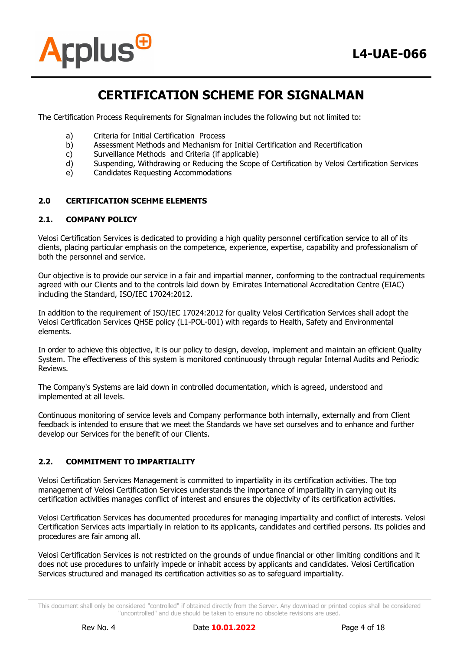

The Certification Process Requirements for Signalman includes the following but not limited to:

- a) Criteria for Initial Certification Process
- b) Assessment Methods and Mechanism for Initial Certification and Recertification
- c) Surveillance Methods and Criteria (if applicable)
- d) Suspending, Withdrawing or Reducing the Scope of Certification by Velosi Certification Services
- e) Candidates Requesting Accommodations

#### **2.0 CERTIFICATION SCEHME ELEMENTS**

#### **2.1. COMPANY POLICY**

Velosi Certification Services is dedicated to providing a high quality personnel certification service to all of its clients, placing particular emphasis on the competence, experience, expertise, capability and professionalism of both the personnel and service.

Our objective is to provide our service in a fair and impartial manner, conforming to the contractual requirements agreed with our Clients and to the controls laid down by Emirates International Accreditation Centre (EIAC) including the Standard, ISO/IEC 17024:2012.

In addition to the requirement of ISO/IEC 17024:2012 for quality Velosi Certification Services shall adopt the Velosi Certification Services QHSE policy (L1-POL-001) with regards to Health, Safety and Environmental elements.

In order to achieve this objective, it is our policy to design, develop, implement and maintain an efficient Quality System. The effectiveness of this system is monitored continuously through regular Internal Audits and Periodic Reviews.

The Company's Systems are laid down in controlled documentation, which is agreed, understood and implemented at all levels.

Continuous monitoring of service levels and Company performance both internally, externally and from Client feedback is intended to ensure that we meet the Standards we have set ourselves and to enhance and further develop our Services for the benefit of our Clients.

#### **2.2. COMMITMENT TO IMPARTIALITY**

Velosi Certification Services Management is committed to impartiality in its certification activities. The top management of Velosi Certification Services understands the importance of impartiality in carrying out its certification activities manages conflict of interest and ensures the objectivity of its certification activities.

Velosi Certification Services has documented procedures for managing impartiality and conflict of interests. Velosi Certification Services acts impartially in relation to its applicants, candidates and certified persons. Its policies and procedures are fair among all.

Velosi Certification Services is not restricted on the grounds of undue financial or other limiting conditions and it does not use procedures to unfairly impede or inhabit access by applicants and candidates. Velosi Certification Services structured and managed its certification activities so as to safeguard impartiality.

This document shall only be considered "controlled" if obtained directly from the Server. Any download or printed copies shall be considered "uncontrolled" and due should be taken to ensure no obsolete revisions are used.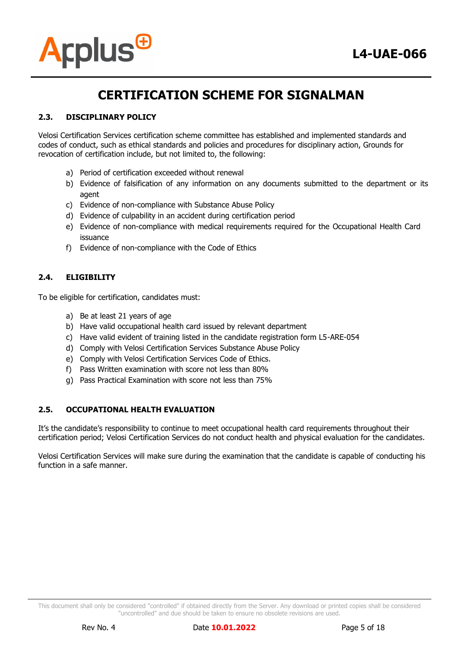

# **2.3. DISCIPLINARY POLICY**

Velosi Certification Services certification scheme committee has established and implemented standards and codes of conduct, such as ethical standards and policies and procedures for disciplinary action, Grounds for revocation of certification include, but not limited to, the following:

- a) Period of certification exceeded without renewal
- b) Evidence of falsification of any information on any documents submitted to the department or its agent
- c) Evidence of non-compliance with Substance Abuse Policy
- d) Evidence of culpability in an accident during certification period
- e) Evidence of non-compliance with medical requirements required for the Occupational Health Card issuance
- f) Evidence of non-compliance with the Code of Ethics

### **2.4. ELIGIBILITY**

To be eligible for certification, candidates must:

- a) Be at least 21 years of age
- b) Have valid occupational health card issued by relevant department
- c) Have valid evident of training listed in the candidate registration form L5-ARE-054
- d) Comply with Velosi Certification Services Substance Abuse Policy
- e) Comply with Velosi Certification Services Code of Ethics.
- f) Pass Written examination with score not less than 80%
- g) Pass Practical Examination with score not less than 75%

### **2.5. OCCUPATIONAL HEALTH EVALUATION**

It's the candidate's responsibility to continue to meet occupational health card requirements throughout their certification period; Velosi Certification Services do not conduct health and physical evaluation for the candidates.

Velosi Certification Services will make sure during the examination that the candidate is capable of conducting his function in a safe manner.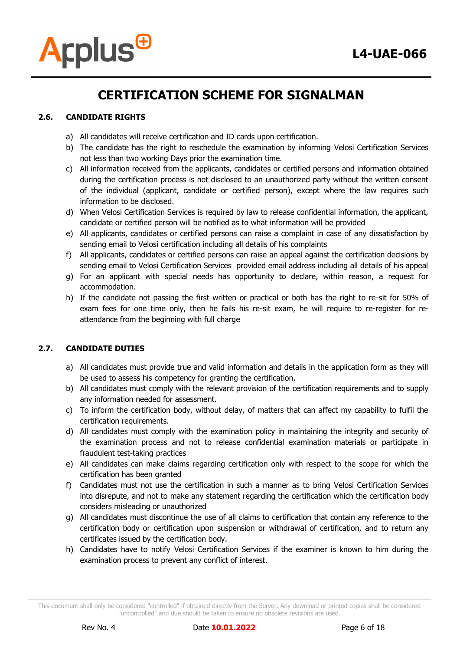

# **2.6. CANDIDATE RIGHTS**

- a) All candidates will receive certification and ID cards upon certification.
- b) The candidate has the right to reschedule the examination by informing Velosi Certification Services not less than two working Days prior the examination time.
- c) All information received from the applicants, candidates or certified persons and information obtained during the certification process is not disclosed to an unauthorized party without the written consent of the individual (applicant, candidate or certified person), except where the law requires such information to be disclosed.
- d) When Velosi Certification Services is required by law to release confidential information, the applicant, candidate or certified person will be notified as to what information will be provided
- e) All applicants, candidates or certified persons can raise a complaint in case of any dissatisfaction by sending email to Velosi certification including all details of his complaints
- f) All applicants, candidates or certified persons can raise an appeal against the certification decisions by sending email to Velosi Certification Services provided email address including all details of his appeal
- g) For an applicant with special needs has opportunity to declare, within reason, a request for accommodation.
- h) If the candidate not passing the first written or practical or both has the right to re-sit for 50% of exam fees for one time only, then he fails his re-sit exam, he will require to re-register for reattendance from the beginning with full charge

### **2.7. CANDIDATE DUTIES**

- a) All candidates must provide true and valid information and details in the application form as they will be used to assess his competency for granting the certification.
- b) All candidates must comply with the relevant provision of the certification requirements and to supply any information needed for assessment.
- c) To inform the certification body, without delay, of matters that can affect my capability to fulfil the certification requirements.
- d) All candidates must comply with the examination policy in maintaining the integrity and security of the examination process and not to release confidential examination materials or participate in fraudulent test-taking practices
- e) All candidates can make claims regarding certification only with respect to the scope for which the certification has been granted
- f) Candidates must not use the certification in such a manner as to bring Velosi Certification Services into disrepute, and not to make any statement regarding the certification which the certification body considers misleading or unauthorized
- g) All candidates must discontinue the use of all claims to certification that contain any reference to the certification body or certification upon suspension or withdrawal of certification, and to return any certificates issued by the certification body.
- h) Candidates have to notify Velosi Certification Services if the examiner is known to him during the examination process to prevent any conflict of interest.

This document shall only be considered "controlled" if obtained directly from the Server. Any download or printed copies shall be considered "uncontrolled" and due should be taken to ensure no obsolete revisions are used.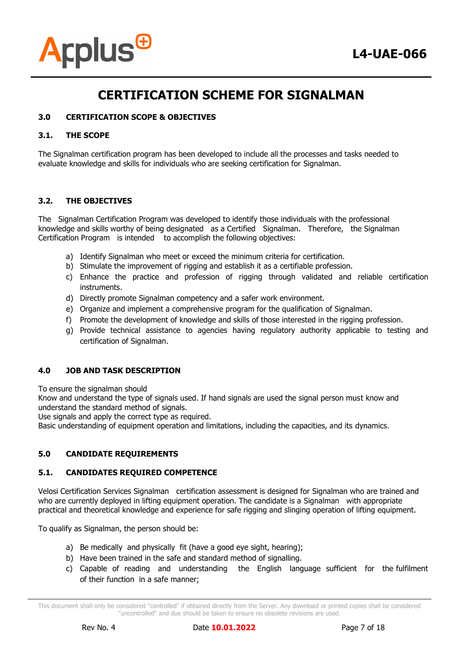



### **3.0 CERTIFICATION SCOPE & OBJECTIVES**

#### **3.1. THE SCOPE**

The Signalman certification program has been developed to include all the processes and tasks needed to evaluate knowledge and skills for individuals who are seeking certification for Signalman.

#### **3.2. THE OBJECTIVES**

The Signalman Certification Program was developed to identify those individuals with the professional knowledge and skills worthy of being designated as a Certified Signalman. Therefore, the Signalman Certification Program is intended to accomplish the following objectives:

- a) Identify Signalman who meet or exceed the minimum criteria for certification.
- b) Stimulate the improvement of rigging and establish it as a certifiable profession.
- c) Enhance the practice and profession of rigging through validated and reliable certification instruments.
- d) Directly promote Signalman competency and a safer work environment.
- e) Organize and implement a comprehensive program for the qualification of Signalman.
- f) Promote the development of knowledge and skills of those interested in the rigging profession.
- g) Provide technical assistance to agencies having regulatory authority applicable to testing and certification of Signalman.

### **4.0 JOB AND TASK DESCRIPTION**

To ensure the signalman should

Know and understand the type of signals used. If hand signals are used the signal person must know and understand the standard method of signals.

Use signals and apply the correct type as required.

Basic understanding of equipment operation and limitations, including the capacities, and its dynamics.

### **5.0 CANDIDATE REQUIREMENTS**

#### **5.1. CANDIDATES REQUIRED COMPETENCE**

Velosi Certification Services Signalman certification assessment is designed for Signalman who are trained and who are currently deployed in lifting equipment operation. The candidate is a Signalman with appropriate practical and theoretical knowledge and experience for safe rigging and slinging operation of lifting equipment.

To qualify as Signalman, the person should be:

- a) Be medically and physically fit (have a good eye sight, hearing);
- b) Have been trained in the safe and standard method of signalling.
- c) Capable of reading and understanding the English language sufficient for the fulfilment of their function in a safe manner;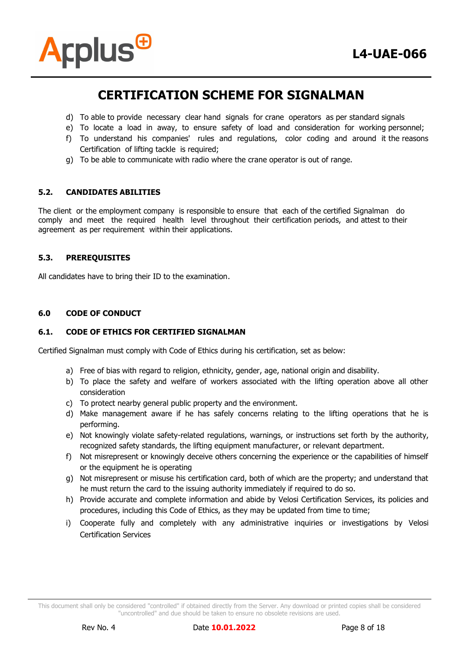

- d) To able to provide necessary clear hand signals for crane operators as per standard signals
- e) To locate a load in away, to ensure safety of load and consideration for working personnel;
- f) To understand his companies' rules and regulations, color coding and around it the reasons Certification of lifting tackle is required;
- g) To be able to communicate with radio where the crane operator is out of range.

#### **5.2. CANDIDATES ABILITIES**

The client or the employment company is responsible to ensure that each of the certified Signalman do comply and meet the required health level throughout their certification periods, and attest to their agreement as per requirement within their applications.

#### **5.3. PREREQUISITES**

All candidates have to bring their ID to the examination.

#### **6.0 CODE OF CONDUCT**

#### **6.1. CODE OF ETHICS FOR CERTIFIED SIGNALMAN**

Certified Signalman must comply with Code of Ethics during his certification, set as below:

- a) Free of bias with regard to religion, ethnicity, gender, age, national origin and disability.
- b) To place the safety and welfare of workers associated with the lifting operation above all other consideration
- c) To protect nearby general public property and the environment.
- d) Make management aware if he has safely concerns relating to the lifting operations that he is performing.
- e) Not knowingly violate safety-related regulations, warnings, or instructions set forth by the authority, recognized safety standards, the lifting equipment manufacturer, or relevant department.
- f) Not misrepresent or knowingly deceive others concerning the experience or the capabilities of himself or the equipment he is operating
- g) Not misrepresent or misuse his certification card, both of which are the property; and understand that he must return the card to the issuing authority immediately if required to do so.
- h) Provide accurate and complete information and abide by Velosi Certification Services, its policies and procedures, including this Code of Ethics, as they may be updated from time to time;
- i) Cooperate fully and completely with any administrative inquiries or investigations by Velosi Certification Services

This document shall only be considered "controlled" if obtained directly from the Server. Any download or printed copies shall be considered "uncontrolled" and due should be taken to ensure no obsolete revisions are used.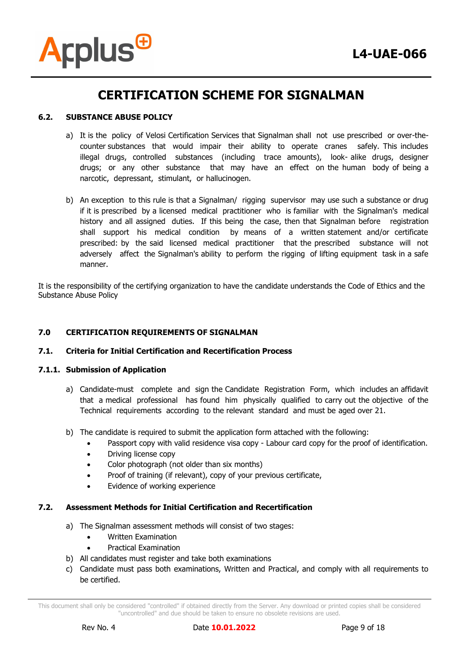



#### **6.2. SUBSTANCE ABUSE POLICY**

- a) It is the policy of Velosi Certification Services that Signalman shall not use prescribed or over-thecounter substances that would impair their ability to operate cranes safely. This includes illegal drugs, controlled substances (including trace amounts), look- alike drugs, designer drugs; or any other substance that may have an effect on the human body of being a narcotic, depressant, stimulant, or hallucinogen.
- b) An exception to this rule is that a Signalman/ rigging supervisor may use such a substance or drug if it is prescribed by a licensed medical practitioner who is familiar with the Signalman's medical history and all assigned duties. If this being the case, then that Signalman before registration shall support his medical condition by means of a written statement and/or certificate prescribed: by the said licensed medical practitioner that the prescribed substance will not adversely affect the Signalman's ability to perform the rigging of lifting equipment task in a safe manner.

It is the responsibility of the certifying organization to have the candidate understands the Code of Ethics and the Substance Abuse Policy

#### **7.0 CERTIFICATION REQUIREMENTS OF SIGNALMAN**

#### **7.1. Criteria for Initial Certification and Recertification Process**

#### **7.1.1. Submission of Application**

- a) Candidate-must complete and sign the Candidate Registration Form, which includes an affidavit that a medical professional has found him physically qualified to carry out the objective of the Technical requirements according to the relevant standard and must be aged over 21.
- b) The candidate is required to submit the application form attached with the following:
	- Passport copy with valid residence visa copy Labour card copy for the proof of identification.
	- Driving license copy
	- Color photograph (not older than six months)
	- Proof of training (if relevant), copy of your previous certificate,
	- Evidence of working experience

# **7.2. Assessment Methods for Initial Certification and Recertification**

- a) The Signalman assessment methods will consist of two stages:
	- Written Examination
	- Practical Examination
- b) All candidates must register and take both examinations
- c) Candidate must pass both examinations, Written and Practical, and comply with all requirements to be certified.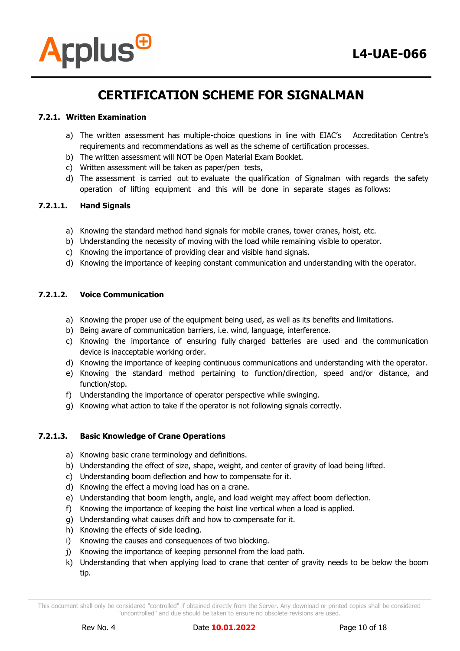

### **7.2.1. Written Examination**

- a) The written assessment has multiple-choice questions in line with EIAC's Accreditation Centre's requirements and recommendations as well as the scheme of certification processes.
- b) The written assessment will NOT be Open Material Exam Booklet.
- c) Written assessment will be taken as paper/pen tests,
- d) The assessment is carried out to evaluate the qualification of Signalman with regards the safety operation of lifting equipment and this will be done in separate stages as follows:

#### **7.2.1.1. Hand Signals**

- a) Knowing the standard method hand signals for mobile cranes, tower cranes, hoist, etc.
- b) Understanding the necessity of moving with the load while remaining visible to operator.
- c) Knowing the importance of providing clear and visible hand signals.
- d) Knowing the importance of keeping constant communication and understanding with the operator.

#### **7.2.1.2. Voice Communication**

- a) Knowing the proper use of the equipment being used, as well as its benefits and limitations.
- b) Being aware of communication barriers, i.e. wind, language, interference.
- c) Knowing the importance of ensuring fully charged batteries are used and the communication device is inacceptable working order.
- d) Knowing the importance of keeping continuous communications and understanding with the operator.
- e) Knowing the standard method pertaining to function/direction, speed and/or distance, and function/stop.
- f) Understanding the importance of operator perspective while swinging.
- g) Knowing what action to take if the operator is not following signals correctly.

#### **7.2.1.3. Basic Knowledge of Crane Operations**

- a) Knowing basic crane terminology and definitions.
- b) Understanding the effect of size, shape, weight, and center of gravity of load being lifted.
- c) Understanding boom deflection and how to compensate for it.
- d) Knowing the effect a moving load has on a crane.
- e) Understanding that boom length, angle, and load weight may affect boom deflection.
- f) Knowing the importance of keeping the hoist line vertical when a load is applied.
- g) Understanding what causes drift and how to compensate for it.
- h) Knowing the effects of side loading.
- i) Knowing the causes and consequences of two blocking.
- j) Knowing the importance of keeping personnel from the load path.
- k) Understanding that when applying load to crane that center of gravity needs to be below the boom tip.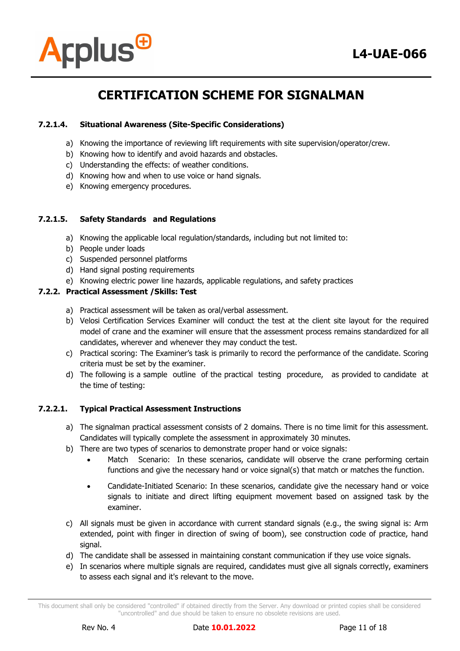



### **7.2.1.4. Situational Awareness (Site-Specific Considerations)**

- a) Knowing the importance of reviewing lift requirements with site supervision/operator/crew.
- b) Knowing how to identify and avoid hazards and obstacles.
- c) Understanding the effects: of weather conditions.
- d) Knowing how and when to use voice or hand signals.
- e) Knowing emergency procedures.

#### **7.2.1.5. Safety Standards and Regulations**

- a) Knowing the applicable local regulation/standards, including but not limited to:
- b) People under loads
- c) Suspended personnel platforms
- d) Hand signal posting requirements
- e) Knowing electric power line hazards, applicable regulations, and safety practices

#### **7.2.2. Practical Assessment /Skills: Test**

- a) Practical assessment will be taken as oral/verbal assessment.
- b) Velosi Certification Services Examiner will conduct the test at the client site layout for the required model of crane and the examiner will ensure that the assessment process remains standardized for all candidates, wherever and whenever they may conduct the test.
- c) Practical scoring: The Examiner's task is primarily to record the performance of the candidate. Scoring criteria must be set by the examiner.
- d) The following is a sample outline of the practical testing procedure, as provided to candidate at the time of testing:

### **7.2.2.1. Typical Practical Assessment Instructions**

- a) The signalman practical assessment consists of 2 domains. There is no time limit for this assessment. Candidates will typically complete the assessment in approximately 30 minutes.
- b) There are two types of scenarios to demonstrate proper hand or voice signals:
	- Match Scenario: In these scenarios, candidate will observe the crane performing certain functions and give the necessary hand or voice signal(s) that match or matches the function.
	- Candidate-Initiated Scenario: In these scenarios, candidate give the necessary hand or voice signals to initiate and direct lifting equipment movement based on assigned task by the examiner.
- c) All signals must be given in accordance with current standard signals (e.g., the swing signal is: Arm extended, point with finger in direction of swing of boom), see construction code of practice, hand signal.
- d) The candidate shall be assessed in maintaining constant communication if they use voice signals.
- e) In scenarios where multiple signals are required, candidates must give all signals correctly, examiners to assess each signal and it's relevant to the move.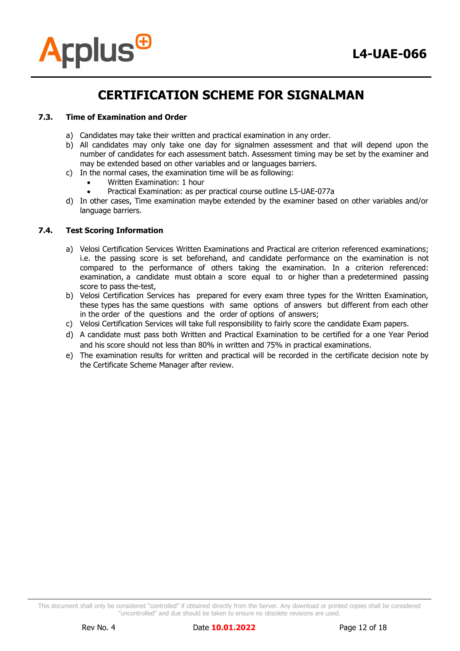

#### **7.3. Time of Examination and Order**

- a) Candidates may take their written and practical examination in any order.
- b) All candidates may only take one day for signalmen assessment and that will depend upon the number of candidates for each assessment batch. Assessment timing may be set by the examiner and may be extended based on other variables and or languages barriers.
- c) In the normal cases, the examination time will be as following:
	- Written Examination: 1 hour
	- Practical Examination: as per practical course outline L5-UAE-077a
- d) In other cases, Time examination maybe extended by the examiner based on other variables and/or language barriers.

#### **7.4. Test Scoring Information**

- a) Velosi Certification Services Written Examinations and Practical are criterion referenced examinations; i.e. the passing score is set beforehand, and candidate performance on the examination is not compared to the performance of others taking the examination. In a criterion referenced: examination, a candidate must obtain a score equal to or higher than a predetermined passing score to pass the-test,
- b) Velosi Certification Services has prepared for every exam three types for the Written Examination, these types has the same questions with same options of answers but different from each other in the order of the questions and the order of options of answers;
- c) Velosi Certification Services will take full responsibility to fairly score the candidate Exam papers.
- d) A candidate must pass both Written and Practical Examination to be certified for a one Year Period and his score should not less than 80% in written and 75% in practical examinations.
- e) The examination results for written and practical will be recorded in the certificate decision note by the Certificate Scheme Manager after review.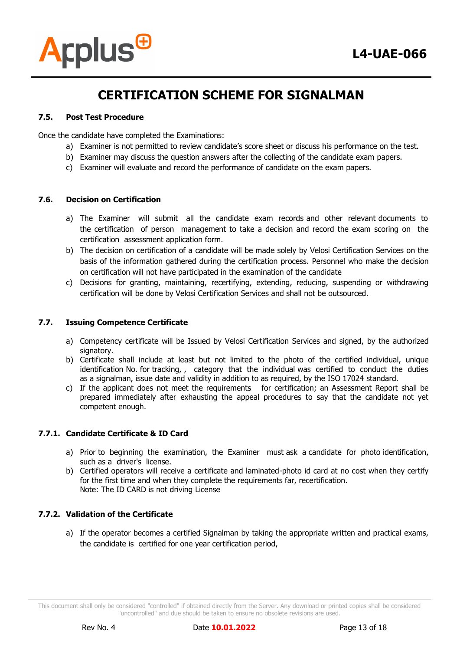

#### **7.5. Post Test Procedure**

Once the candidate have completed the Examinations:

- a) Examiner is not permitted to review candidate's score sheet or discuss his performance on the test.
- b) Examiner may discuss the question answers after the collecting of the candidate exam papers.
- c) Examiner will evaluate and record the performance of candidate on the exam papers.

#### **7.6. Decision on Certification**

- a) The Examiner will submit all the candidate exam records and other relevant documents to the certification of person management to take a decision and record the exam scoring on the certification assessment application form.
- b) The decision on certification of a candidate will be made solely by Velosi Certification Services on the basis of the information gathered during the certification process. Personnel who make the decision on certification will not have participated in the examination of the candidate
- c) Decisions for granting, maintaining, recertifying, extending, reducing, suspending or withdrawing certification will be done by Velosi Certification Services and shall not be outsourced.

#### **7.7. Issuing Competence Certificate**

- a) Competency certificate will be Issued by Velosi Certification Services and signed, by the authorized signatory.
- b) Certificate shall include at least but not limited to the photo of the certified individual, unique identification No. for tracking, , category that the individual was certified to conduct the duties as a signalman, issue date and validity in addition to as required, by the ISO 17024 standard.
- c) If the applicant does not meet the requirements for certification; an Assessment Report shall be prepared immediately after exhausting the appeal procedures to say that the candidate not yet competent enough.

### **7.7.1. Candidate Certificate & ID Card**

- a) Prior to beginning the examination, the Examiner must ask a candidate for photo identification, such as a driver's license.
- b) Certified operators will receive a certificate and laminated-photo id card at no cost when they certify for the first time and when they complete the requirements far, recertification. Note: The ID CARD is not driving License

### **7.7.2. Validation of the Certificate**

a) If the operator becomes a certified Signalman by taking the appropriate written and practical exams, the candidate is certified for one year certification period,

This document shall only be considered "controlled" if obtained directly from the Server. Any download or printed copies shall be considered "uncontrolled" and due should be taken to ensure no obsolete revisions are used.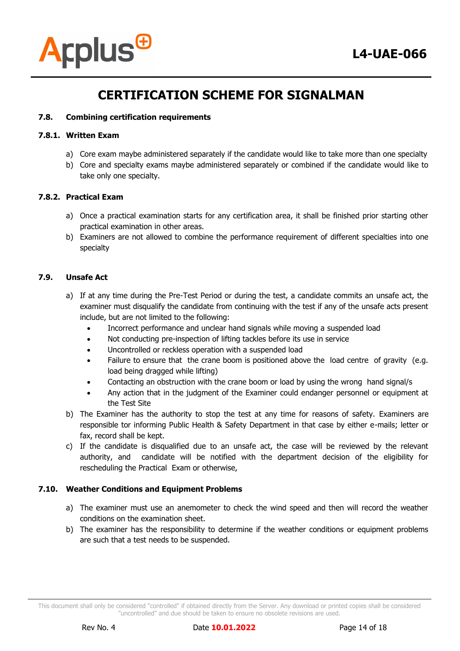

#### **7.8. Combining certification requirements**

#### **7.8.1. Written Exam**

- a) Core exam maybe administered separately if the candidate would like to take more than one specialty
- b) Core and specialty exams maybe administered separately or combined if the candidate would like to take only one specialty.

#### **7.8.2. Practical Exam**

- a) Once a practical examination starts for any certification area, it shall be finished prior starting other practical examination in other areas.
- b) Examiners are not allowed to combine the performance requirement of different specialties into one specialty

### **7.9. Unsafe Act**

- a) If at any time during the Pre-Test Period or during the test, a candidate commits an unsafe act, the examiner must disqualify the candidate from continuing with the test if any of the unsafe acts present include, but are not limited to the following:
	- Incorrect performance and unclear hand signals while moving a suspended load
	- Not conducting pre-inspection of lifting tackles before its use in service
	- Uncontrolled or reckless operation with a suspended load
	- Failure to ensure that the crane boom is positioned above the load centre of gravity (e.g. load being dragged while lifting)
	- Contacting an obstruction with the crane boom or load by using the wrong hand signal/s
	- Any action that in the judgment of the Examiner could endanger personnel or equipment at the Test Site
- b) The Examiner has the authority to stop the test at any time for reasons of safety. Examiners are responsible tor informing Public Health & Safety Department in that case by either e-mails; letter or fax, record shall be kept.
- c) If the candidate is disqualified due to an unsafe act, the case will be reviewed by the relevant authority, and candidate will be notified with the department decision of the eligibility for rescheduling the Practical Exam or otherwise,

#### **7.10. Weather Conditions and Equipment Problems**

- a) The examiner must use an anemometer to check the wind speed and then will record the weather conditions on the examination sheet.
- b) The examiner has the responsibility to determine if the weather conditions or equipment problems are such that a test needs to be suspended.

This document shall only be considered "controlled" if obtained directly from the Server. Any download or printed copies shall be considered "uncontrolled" and due should be taken to ensure no obsolete revisions are used.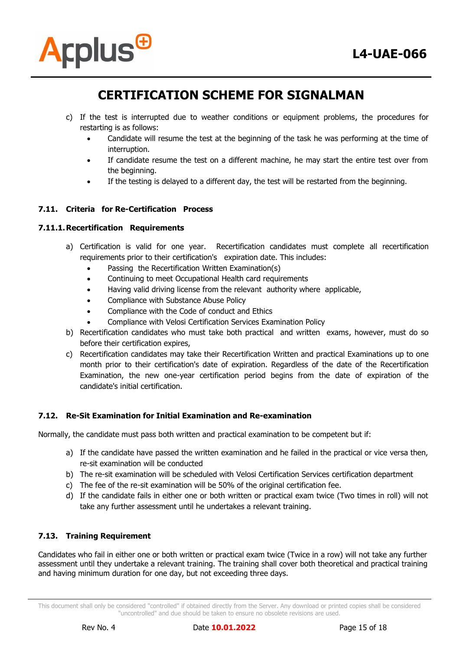

- c) If the test is interrupted due to weather conditions or equipment problems, the procedures for restarting is as follows:
	- Candidate will resume the test at the beginning of the task he was performing at the time of interruption.
	- If candidate resume the test on a different machine, he may start the entire test over from the beginning.
	- If the testing is delayed to a different day, the test will be restarted from the beginning.

# **7.11. Criteria for Re-Certification Process**

#### **7.11.1.Recertification Requirements**

- a) Certification is valid for one year. Recertification candidates must complete all recertification requirements prior to their certification's expiration date. This includes:
	- Passing the Recertification Written Examination(s)
	- Continuing to meet Occupational Health card requirements
	- Having valid driving license from the relevant authority where applicable,
	- Compliance with Substance Abuse Policy
	- Compliance with the Code of conduct and Ethics
	- Compliance with Velosi Certification Services Examination Policy
- b) Recertification candidates who must take both practical and written exams, however, must do so before their certification expires,
- c) Recertification candidates may take their Recertification Written and practical Examinations up to one month prior to their certification's date of expiration. Regardless of the date of the Recertification Examination, the new one-year certification period begins from the date of expiration of the candidate's initial certification.

### **7.12. Re-Sit Examination for Initial Examination and Re-examination**

Normally, the candidate must pass both written and practical examination to be competent but if:

- a) If the candidate have passed the written examination and he failed in the practical or vice versa then, re-sit examination will be conducted
- b) The re-sit examination will be scheduled with Velosi Certification Services certification department
- c) The fee of the re-sit examination will be 50% of the original certification fee.
- d) If the candidate fails in either one or both written or practical exam twice (Two times in roll) will not take any further assessment until he undertakes a relevant training.

### **7.13. Training Requirement**

Candidates who fail in either one or both written or practical exam twice (Twice in a row) will not take any further assessment until they undertake a relevant training. The training shall cover both theoretical and practical training and having minimum duration for one day, but not exceeding three days.

This document shall only be considered "controlled" if obtained directly from the Server. Any download or printed copies shall be considered "uncontrolled" and due should be taken to ensure no obsolete revisions are used.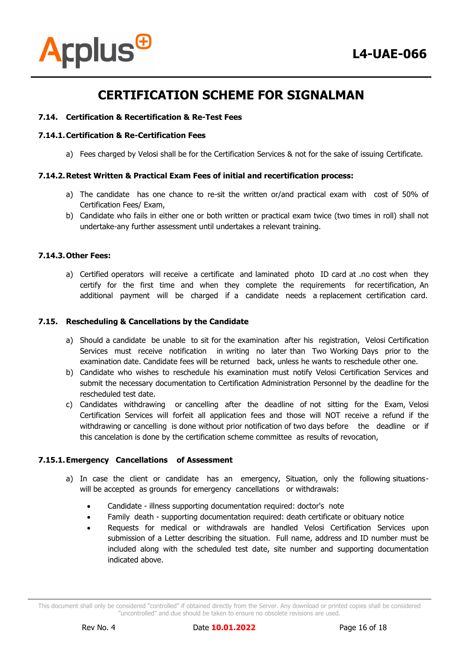

#### **7.14. Certification & Recertification & Re-Test Fees**

#### **7.14.1.Certification & Re-Certification Fees**

a) Fees charged by Velosi shall be for the Certification Services & not for the sake of issuing Certificate.

#### **7.14.2.Retest Written & Practical Exam Fees of initial and recertification process:**

- a) The candidate has one chance to re-sit the written or/and practical exam with cost of 50% of Certification Fees/ Exam,
- b) Candidate who fails in either one or both written or practical exam twice (two times in roll) shall not undertake-any further assessment until undertakes a relevant training.

#### **7.14.3.Other Fees:**

a) Certified operators will receive a certificate and laminated photo ID card at .no cost when they certify for the first time and when they complete the requirements for recertification, An additional payment will be charged if a candidate needs a replacement certification card.

#### **7.15. Rescheduling & Cancellations by the Candidate**

- a) Should a candidate be unable to sit for the examination after his registration, Velosi Certification Services must receive notification in writing no later than Two Working Days prior to the examination date. Candidate fees will be returned back, unless he wants to reschedule other one.
- b) Candidate who wishes to reschedule his examination must notify Velosi Certification Services and submit the necessary documentation to Certification Administration Personnel by the deadline for the rescheduled test date.
- c) Candidates withdrawing or cancelling after the deadline of not sitting for the Exam, Velosi Certification Services will forfeit all application fees and those will NOT receive a refund if the withdrawing or cancelling is done without prior notification of two days before the deadline or if this cancelation is done by the certification scheme committee as results of revocation,

#### **7.15.1.Emergency Cancellations of Assessment**

- a) In case the client or candidate has an emergency, Situation, only the following situationswill be accepted as grounds for emergency cancellations or withdrawals:
	- Candidate illness supporting documentation required: doctor's note
	- Family death supporting documentation required: death certificate or obituary notice
	- Requests for medical or withdrawals are handled Velosi Certification Services upon submission of a Letter describing the situation. Full name, address and ID number must be included along with the scheduled test date, site number and supporting documentation indicated above.

This document shall only be considered "controlled" if obtained directly from the Server. Any download or printed copies shall be considered "uncontrolled" and due should be taken to ensure no obsolete revisions are used.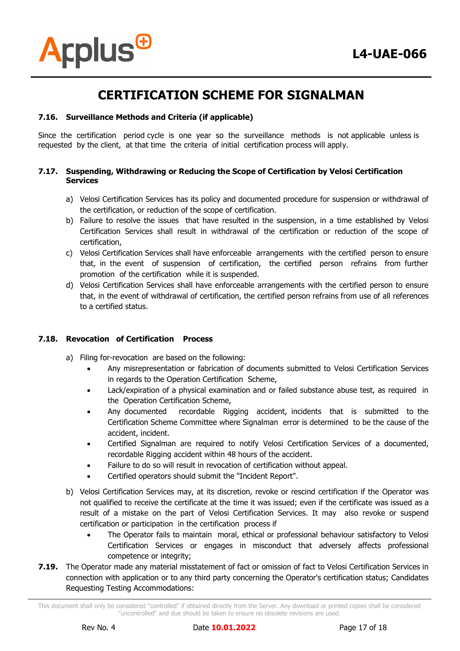

### **7.16. Surveillance Methods and Criteria (if applicable)**

Since the certification period cycle is one year so the surveillance methods is not applicable unless is requested by the client, at that time the criteria of initial certification process will apply.

#### **7.17. Suspending, Withdrawing or Reducing the Scope of Certification by Velosi Certification Services**

- a) Velosi Certification Services has its policy and documented procedure for suspension or withdrawal of the certification, or reduction of the scope of certification.
- b) Failure to resolve the issues that have resulted in the suspension, in a time established by Velosi Certification Services shall result in withdrawal of the certification or reduction of the scope of certification,
- c) Velosi Certification Services shall have enforceable arrangements with the certified person to ensure that, in the event of suspension of certification, the certified person refrains from further promotion of the certification while it is suspended.
- d) Velosi Certification Services shall have enforceable arrangements with the certified person to ensure that, in the event of withdrawal of certification, the certified person refrains from use of all references to a certified status.

#### **7.18. Revocation of Certification Process**

- a) Filing for-revocation are based on the following:
	- Any misrepresentation or fabrication of documents submitted to Velosi Certification Services in regards to the Operation Certification Scheme,
	- Lack/expiration of a physical examination and or failed substance abuse test, as required in the Operation Certification Scheme,
	- Any documented recordable Rigging accident, incidents that is submitted to the Certification Scheme Committee where Signalman error is determined to be the cause of the accident, incident.
	- Certified Signalman are required to notify Velosi Certification Services of a documented, recordable Rigging accident within 48 hours of the accident.
	- Failure to do so will result in revocation of certification without appeal.
	- Certified operators should submit the "Incident Report".
- b) Velosi Certification Services may, at its discretion, revoke or rescind certification if the Operator was not qualified to receive the certificate at the time it was issued; even if the certificate was issued as a result of a mistake on the part of Velosi Certification Services. It may also revoke or suspend certification or participation in the certification process if
	- The Operator fails to maintain moral, ethical or professional behaviour satisfactory to Velosi Certification Services or engages in misconduct that adversely affects professional competence or integrity;
- **7.19.** The Operator made any material misstatement of fact or omission of fact to Velosi Certification Services in connection with application or to any third party concerning the Operator's certification status; Candidates Requesting Testing Accommodations:

This document shall only be considered "controlled" if obtained directly from the Server. Any download or printed copies shall be considered "uncontrolled" and due should be taken to ensure no obsolete revisions are used.